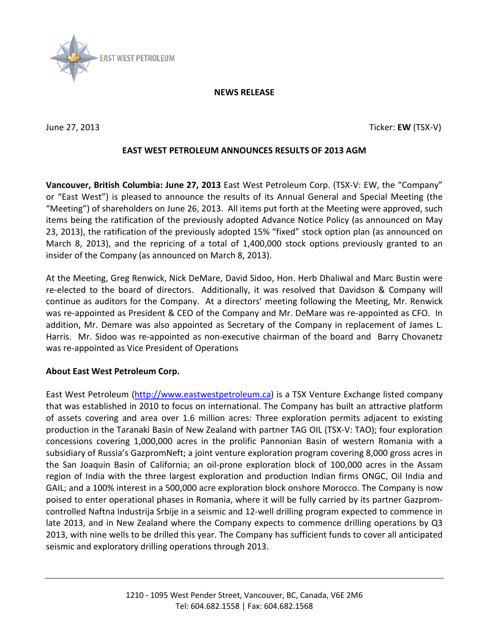

### **NEWS RELEASE**

June 27, 2013 Ticker: **EW** (TSX-V)

## **EAST WEST PETROLEUM ANNOUNCES RESULTS OF 2013 AGM**

**Vancouver, British Columbia: June 27, 2013** East West Petroleum Corp. (TSX-V: EW, the "Company" or "East West") is pleased to announce the results of its Annual General and Special Meeting (the "Meeting") of shareholders on June 26, 2013. All items put forth at the Meeting were approved, such items being the ratification of the previously adopted Advance Notice Policy (as announced on May 23, 2013), the ratification of the previously adopted 15% "fixed" stock option plan (as announced on March 8, 2013), and the repricing of a total of 1,400,000 stock options previously granted to an insider of the Company (as announced on March 8, 2013).

At the Meeting, Greg Renwick, Nick DeMare, David Sidoo, Hon. Herb Dhaliwal and Marc Bustin were re-elected to the board of directors. Additionally, it was resolved that Davidson & Company will continue as auditors for the Company. At a directors' meeting following the Meeting, Mr. Renwick was re-appointed as President & CEO of the Company and Mr. DeMare was re-appointed as CFO. In addition, Mr. Demare was also appointed as Secretary of the Company in replacement of James L. Harris. Mr. Sidoo was re-appointed as non-executive chairman of the board and Barry Chovanetz was re-appointed as Vice President of Operations

# **About East West Petroleum Corp.**

East West Petroleum [\(http://www.eastwestpetroleum.ca\)](http://www.eastwestpetroleum.ca/) is a TSX Venture Exchange listed company that was established in 2010 to focus on international. The Company has built an attractive platform of assets covering and area over 1.6 million acres: Three exploration permits adjacent to existing production in the Taranaki Basin of New Zealand with partner TAG OIL (TSX-V: TAO); four exploration concessions covering 1,000,000 acres in the prolific Pannonian Basin of western Romania with a subsidiary of Russia's GazpromNeft; a joint venture exploration program covering 8,000 gross acres in the San Joaquin Basin of California; an oil-prone exploration block of 100,000 acres in the Assam region of India with the three largest exploration and production Indian firms ONGC, Oil India and GAIL; and a 100% interest in a 500,000 acre exploration block onshore Morocco. The Company is now poised to enter operational phases in Romania, where it will be fully carried by its partner Gazpromcontrolled Naftna Industrija Srbije in a seismic and 12-well drilling program expected to commence in late 2013, and in New Zealand where the Company expects to commence drilling operations by Q3 2013, with nine wells to be drilled this year. The Company has sufficient funds to cover all anticipated seismic and exploratory drilling operations through 2013.